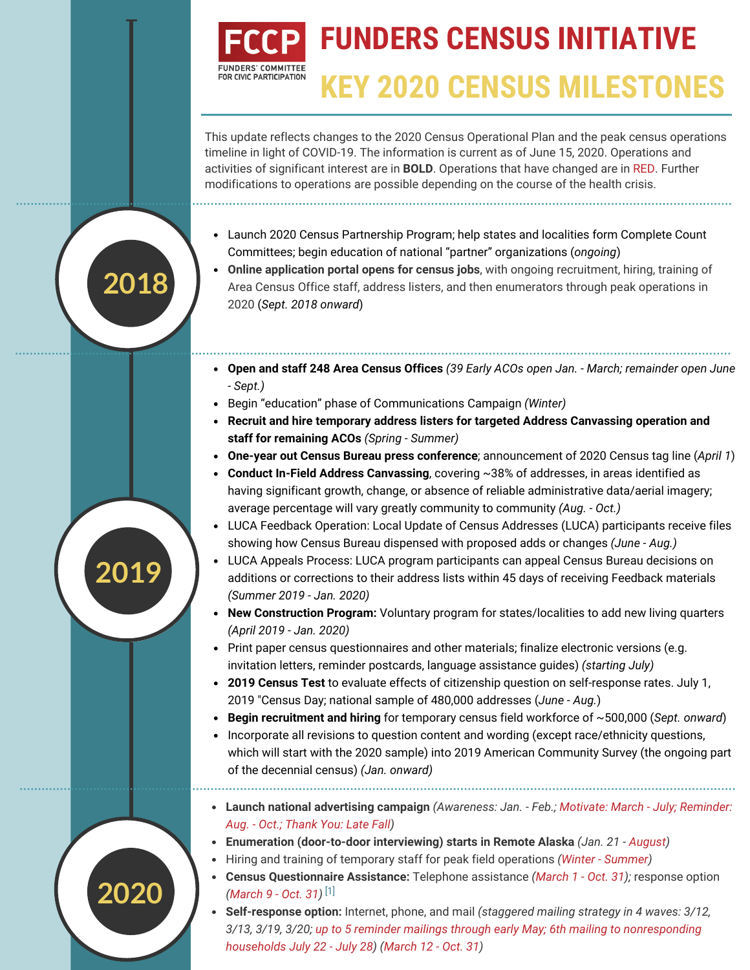## **FUNDERS CENSUS INITIATIVE** FOR CIVIC PARTICIPATION **KEY 2020 CENSUS MILESTONES**

This update reflects changes to the 2020 Census Operational Plan and the peak census operations timeline in light of COVID-19. The information is current as of June 15, 2020. Operations and activities of significant interest are in **BOLD**. Operations that have changed are in RED. Further modifications to operations are possible depending on the course of the health crisis.

- Launch 2020 Census Partnership Program; help states and localities form Complete Count Committees; begin education of national "partner" organizations (*ongoing*)
- **Online application portal opens for census jobs**, with ongoing recruitment, hiring, training of Area Census Office staff, address listers, and then enumerators through peak operations in 2020 (*Sept. 2018 onward*)
- **Open and staff 248 Area Census Offices** *(39 Early ACOs open Jan. March; remainder open June - Sept.)*
- Begin "education" phase of Communications Campaign *(Winter)*

**2018**

**2019**

**2020**

- **Recruit and hire temporary address listers for targeted Address Canvassing operation and staff for remaining ACOs** *(Spring - Summer)*
- **One-year out Census Bureau press conference**; announcement of 2020 Census tag line (*April 1*)
- **Conduct In-Field Address Canvassing**, covering ~38% of addresses, in areas identified as having significant growth, change, or absence of reliable administrative data/aerial imagery; average percentage will vary greatly community to community *(Aug. - Oct.)*
- LUCA Feedback Operation: Local Update of Census Addresses (LUCA) participants receive files showing how Census Bureau dispensed with proposed adds or changes *(June - Aug.)*
- LUCA Appeals Process: LUCA program participants can appeal Census Bureau decisions on additions or corrections to their address lists within 45 days of receiving Feedback materials *(Summer 2019 - Jan. 2020)*
- **New Construction Program:** Voluntary program for states/localities to add new living quarters *(April 2019 - Jan. 2020)*
- Print paper census questionnaires and other materials; finalize electronic versions (e.g. invitation letters, reminder postcards, language assistance guides) *(starting July)*
- **2019 Census Test** to evaluate effects of citizenship question on self-response rates. July 1, 2019 "Census Day; national sample of 480,000 addresses (*June - Aug.*)
- **Begin recruitment and hiring** for temporary census field workforce of ~500,000 (*Sept. onward*)
- Incorporate all revisions to question content and wording (except race/ethnicity questions, which will start with the 2020 sample) into 2019 American Community Survey (the ongoing part of the decennial census) *(Jan. onward)*
- **Launch national advertising campaign** *(Awareness: Jan. Feb.; Motivate: March July; Reminder: Aug. - Oct.; Thank You: Late Fall)*
- **Enumeration (door-to-door interviewing) starts in Remote Alaska** *(Jan. 21 August)*
- Hiring and training of temporary staff for peak field operations *(Winter Summer)*
- **Census Questionnaire Assistance:** Telephone assistance *(March 1 Oct. 31);* response option *(March 9 - Oct. 31)* [1]
- **Self-response option:** Internet, phone, and mail *(staggered mailing strategy in 4 waves: 3/12, 3/13, 3/19, 3/20; up to 5 reminder mailings through early May; 6th mailing to nonresponding households July 22 - July 28) (March 12 - Oct. 31)*